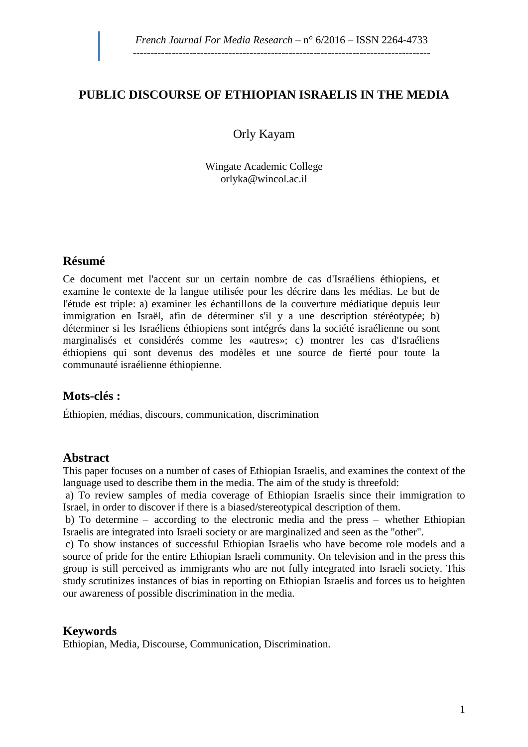## **PUBLIC DISCOURSE OF ETHIOPIAN ISRAELIS IN THE MEDIA**

Orly Kayam

Wingate Academic College [orlyka@wincol.ac.il](mailto:orlyka@wincol.ac.il)

### **Résumé**

Ce document met l'accent sur un certain nombre de cas d'Israéliens éthiopiens, et examine le contexte de la langue utilisée pour les décrire dans les médias. Le but de l'étude est triple: a) examiner les échantillons de la couverture médiatique depuis leur immigration en Israël, afin de déterminer s'il y a une description stéréotypée; b) déterminer si les Israéliens éthiopiens sont intégrés dans la société israélienne ou sont marginalisés et considérés comme les «autres»; c) montrer les cas d'Israéliens éthiopiens qui sont devenus des modèles et une source de fierté pour toute la communauté israélienne éthiopienne.

## **Mots-clés :**

Éthiopien, médias, discours, communication, discrimination

### **Abstract**

This paper focuses on a number of cases of Ethiopian Israelis, and examines the context of the language used to describe them in the media. The aim of the study is threefold:

a) To review samples of media coverage of Ethiopian Israelis since their immigration to Israel, in order to discover if there is a biased/stereotypical description of them.

b) To determine – according to the electronic media and the press – whether Ethiopian Israelis are integrated into Israeli society or are marginalized and seen as the "other".

c) To show instances of successful Ethiopian Israelis who have become role models and a source of pride for the entire Ethiopian Israeli community. On television and in the press this group is still perceived as immigrants who are not fully integrated into Israeli society. This study scrutinizes instances of bias in reporting on Ethiopian Israelis and forces us to heighten our awareness of possible discrimination in the media.

### **Keywords**

Ethiopian, Media, Discourse, Communication, Discrimination.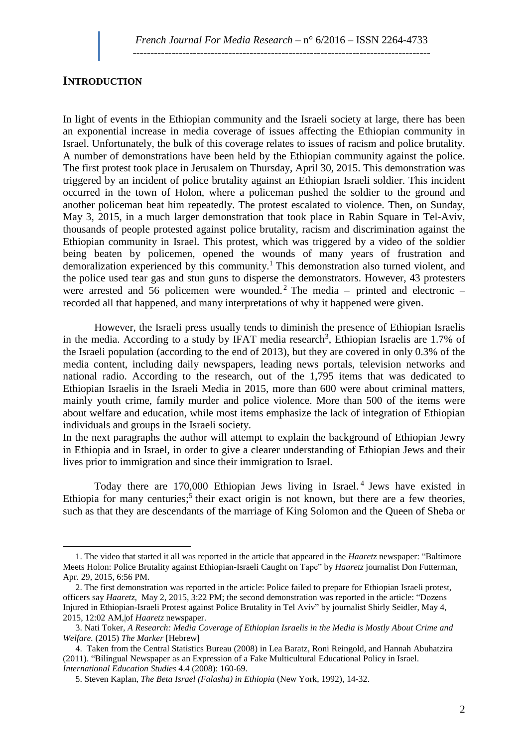#### **INTRODUCTION**

 $\overline{a}$ 

In light of events in the Ethiopian community and the Israeli society at large, there has been an exponential increase in media coverage of issues affecting the Ethiopian community in Israel. Unfortunately, the bulk of this coverage relates to issues of racism and police brutality. A number of demonstrations have been held by the Ethiopian community against the police. The first protest took place in Jerusalem on Thursday, April 30, 2015. This demonstration was triggered by an incident of police brutality against an Ethiopian Israeli soldier. This incident occurred in the town of Holon, where a policeman pushed the soldier to the ground and another policeman beat him repeatedly. The protest escalated to violence. Then, on Sunday, May 3, 2015, in a much larger demonstration that took place in Rabin Square in Tel-Aviv, thousands of people protested against police brutality, racism and discrimination against the Ethiopian community in Israel. This protest, which was triggered by a video of the soldier being beaten by policemen, opened the wounds of many years of frustration and demoralization experienced by this community.<sup>1</sup> This demonstration also turned violent, and the police used tear gas and stun guns to disperse the demonstrators. However, 43 protesters were arrested and 56 policemen were wounded.<sup>2</sup> The media – printed and electronic – recorded all that happened, and many interpretations of why it happened were given.

However, the Israeli press usually tends to diminish the presence of Ethiopian Israelis in the media. According to a study by IFAT media research<sup>3</sup>, Ethiopian Israelis are 1.7% of the Israeli population (according to the end of 2013), but they are covered in only 0.3% of the media content, including daily newspapers, leading news portals, television networks and national radio. According to the research, out of the 1,795 items that was dedicated to Ethiopian Israelis in the Israeli Media in 2015, more than 600 were about criminal matters, mainly youth crime, family murder and police violence. More than 500 of the items were about welfare and education, while most items emphasize the lack of integration of Ethiopian individuals and groups in the Israeli society.

In the next paragraphs the author will attempt to explain the background of Ethiopian Jewry in Ethiopia and in Israel, in order to give a clearer understanding of Ethiopian Jews and their lives prior to immigration and since their immigration to Israel.

Today there are 170,000 Ethiopian Jews living in Israel. <sup>4</sup> Jews have existed in Ethiopia for many centuries;<sup>5</sup> their exact origin is not known, but there are a few theories, such as that they are descendants of the marriage of King Solomon and the Queen of Sheba or

<sup>1.</sup> The video that started it all was reported in the article that appeared in the *Haaretz* newspaper: "Baltimore Meets Holon: Police Brutality against Ethiopian-Israeli Caught on Tape" by *Haaretz* journalist Don [Futterman,](http://www.haaretz.com/misc/writers/don-futterman-1.288862) Apr. 29, 2015, 6:56 PM.

<sup>2.</sup> The first demonstration was reported in the article: Police failed to prepare for Ethiopian Israeli protest, officers say *[Haaretz,](http://www.haaretz.com/misc/writers/haaretz-1.367584)* May 2, 2015, 3:22 PM; the second demonstration was reported in the article: "Dozens Injured in Ethiopian-Israeli Protest against Police Brutality in Tel Aviv" by journalist Shirly [Seidler,](http://www.haaretz.com/misc/writers/shirly-seidler-1.542200) May 4, 2015, 12:02 AM,|of *Haaretz* newspaper.

<sup>3.</sup> Nati Toker, *A Research: Media Coverage of Ethiopian Israelis in the Media is Mostly About Crime and Welfare.* (2015) *The Marker* [Hebrew]

<sup>4.</sup> Taken from the Central Statistics Bureau (2008) in Lea Baratz, Roni Reingold, and Hannah Abuhatzira (2011). "Bilingual Newspaper as an Expression of a Fake Multicultural Educational Policy in Israel. *International Education Studies* 4.4 (2008): 160-69.

<sup>5.</sup> Steven Kaplan, *The Beta Israel (Falasha) in Ethiopia* (New York, 1992), 14-32.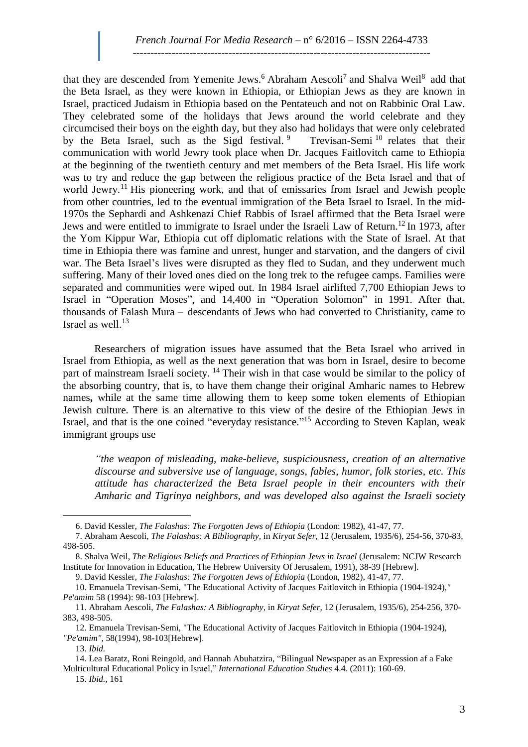that they are descended from Yemenite Jews.<sup>6</sup> Abraham Aescoli<sup>7</sup> and Shalva Weil<sup>8</sup> add that the Beta Israel, as they were known in Ethiopia, or Ethiopian Jews as they are known in Israel, practiced Judaism in Ethiopia based on the Pentateuch and not on Rabbinic Oral Law. They celebrated some of the holidays that Jews around the world celebrate and they circumcised their boys on the eighth day, but they also had holidays that were only celebrated by the Beta Israel, such as the Sigd festival.<sup>9</sup> Trevisan-Semi<sup>10</sup> relates that their communication with world Jewry took place when Dr. Jacques Faitlovitch came to Ethiopia at the beginning of the twentieth century and met members of the Beta Israel. His life work was to try and reduce the gap between the religious practice of the Beta Israel and that of world Jewry.<sup>11</sup> His pioneering work, and that of emissaries from Israel and Jewish people from other countries, led to the eventual immigration of the Beta Israel to Israel. In the mid-1970s the Sephardi and Ashkenazi Chief Rabbis of Israel affirmed that the Beta Israel were Jews and were entitled to immigrate to Israel under the Israeli Law of Return.<sup>12</sup> In 1973, after the Yom Kippur War, Ethiopia cut off diplomatic relations with the State of Israel. At that time in Ethiopia there was famine and unrest, hunger and starvation, and the dangers of civil war. The Beta Israel's lives were disrupted as they fled to Sudan, and they underwent much suffering. Many of their loved ones died on the long trek to the refugee camps. Families were separated and communities were wiped out. In 1984 Israel airlifted 7,700 Ethiopian Jews to Israel in "Operation Moses", and 14,400 in "Operation Solomon" in 1991. After that, thousands of Falash Mura – descendants of Jews who had converted to Christianity, came to Israel as well. $^{13}$ 

Researchers of migration issues have assumed that the Beta Israel who arrived in Israel from Ethiopia, as well as the next generation that was born in Israel, desire to become part of mainstream Israeli society. <sup>14</sup> Their wish in that case would be similar to the policy of the absorbing country, that is, to have them change their original Amharic names to Hebrew names**,** while at the same time allowing them to keep some token elements of Ethiopian Jewish culture. There is an alternative to this view of the desire of the Ethiopian Jews in Israel, and that is the one coined "everyday resistance."<sup>15</sup> According to Steven Kaplan, weak immigrant groups use

*"the weapon of misleading, make-believe, suspiciousness, creation of an alternative discourse and subversive use of language, songs, fables, humor, folk stories, etc. This attitude has characterized the Beta Israel people in their encounters with their Amharic and Tigrinya neighbors, and was developed also against the Israeli society*

<sup>6.</sup> David Kessler, *The Falashas: The Forgotten Jews of Ethiopia* (London: 1982), 41-47, 77.

<sup>7.</sup> Abraham Aescoli, *The Falashas: A Bibliography,* in *Kiryat Sefer,* 12 (Jerusalem, 1935/6), 254-56, 370-83, 498-505.

<sup>8.</sup> Shalva Weil, *The Religious Beliefs and Practices of Ethiopian Jews in Israel* (Jerusalem: NCJW Research Institute for Innovation in Education, The Hebrew University Of Jerusalem, 1991), 38-39 [Hebrew].

<sup>9.</sup> David Kessler, *The Falashas: The Forgotten Jews of Ethiopia* (London, 1982), 41-47, 77.

<sup>10.</sup> Emanuela Trevisan-Semi, "The Educational Activity of Jacques Faitlovitch in Ethiopia (1904-1924),*" Pe'amim* 58 (1994): 98-103 [Hebrew].

<sup>11.</sup> Abraham Aescoli, *The Falashas: A Bibliography,* in *Kiryat Sefer,* 12 (Jerusalem, 1935/6), 254-256, 370- 383, 498-505.

<sup>12.</sup> Emanuela Trevisan-Semi, "The Educational Activity of Jacques Faitlovitch in Ethiopia (1904-1924), *"Pe'amim",* 58(1994), 98-103[Hebrew].

<sup>13.</sup> *Ibid.*

<sup>14.</sup> Lea Baratz, Roni Reingold, and Hannah Abuhatzira, "Bilingual Newspaper as an Expression af a Fake Multicultural Educational Policy in Israel," *International Education Studies* 4.4. (2011): 160-69.

<sup>15.</sup> *Ibid.,* 161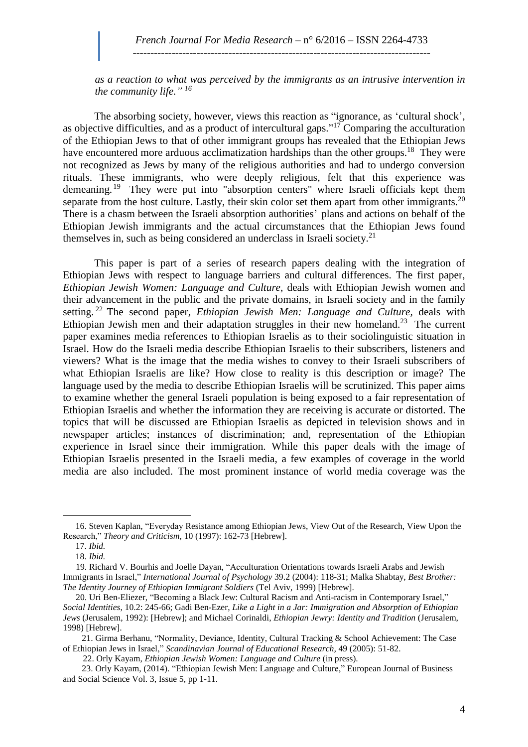*as a reaction to what was perceived by the immigrants as an intrusive intervention in the community life." 16*

The absorbing society, however, views this reaction as "ignorance, as 'cultural shock', as objective difficulties, and as a product of intercultural gaps."<sup>17</sup> Comparing the acculturation of the Ethiopian Jews to that of other immigrant groups has revealed that the Ethiopian Jews have encountered more arduous acclimatization hardships than the other groups.<sup>18</sup> They were not recognized as Jews by many of the religious authorities and had to undergo conversion rituals. These immigrants, who were deeply religious, felt that this experience was demeaning.<sup>19</sup> They were put into "absorption centers" where Israeli officials kept them separate from the host culture. Lastly, their skin color set them apart from other immigrants.<sup>20</sup> There is a chasm between the Israeli absorption authorities' plans and actions on behalf of the Ethiopian Jewish immigrants and the actual circumstances that the Ethiopian Jews found themselves in, such as being considered an underclass in Israeli society.<sup>21</sup>

 This paper is part of a series of research papers dealing with the integration of Ethiopian Jews with respect to language barriers and cultural differences. The first paper, *Ethiopian Jewish Women: Language and Culture*, deals with Ethiopian Jewish women and their advancement in the public and the private domains, in Israeli society and in the family setting. <sup>22</sup> The second paper, *Ethiopian Jewish Men: Language and Culture,* deals with Ethiopian Jewish men and their adaptation struggles in their new homeland.<sup>23</sup> The current paper examines media references to Ethiopian Israelis as to their sociolinguistic situation in Israel. How do the Israeli media describe Ethiopian Israelis to their subscribers, listeners and viewers? What is the image that the media wishes to convey to their Israeli subscribers of what Ethiopian Israelis are like? How close to reality is this description or image? The language used by the media to describe Ethiopian Israelis will be scrutinized. This paper aims to examine whether the general Israeli population is being exposed to a fair representation of Ethiopian Israelis and whether the information they are receiving is accurate or distorted. The topics that will be discussed are Ethiopian Israelis as depicted in television shows and in newspaper articles; instances of discrimination; and, representation of the Ethiopian experience in Israel since their immigration. While this paper deals with the image of Ethiopian Israelis presented in the Israeli media, a few examples of coverage in the world media are also included. The most prominent instance of world media coverage was the

<sup>16.</sup> Steven Kaplan, "Everyday Resistance among Ethiopian Jews, View Out of the Research, View Upon the Research," *Theory and Criticism*, 10 (1997): 162-73 [Hebrew].

<sup>17.</sup> *Ibid.*

<sup>18.</sup> *Ibid.*

<sup>19.</sup> Richard V. Bourhis and Joelle Dayan, "Acculturation Orientations towards Israeli Arabs and Jewish Immigrants in Israel," *International Journal of Psychology* 39.2 (2004): 118-31; Malka Shabtay, *Best Brother: The Identity Journey of Ethiopian Immigrant Soldiers* (Tel Aviv, 1999) [Hebrew].

<sup>20.</sup> Uri Ben-Eliezer, "Becoming a Black Jew: Cultural Racism and Anti-racism in Contemporary Israel," *Social Identities*, 10.2: 245-66; Gadi Ben-Ezer, *Like a Light in a Jar: Immigration and Absorption of Ethiopian Jews* (Jerusalem, 1992): [Hebrew]; and Michael Corinaldi, *Ethiopian Jewry: Identity and Tradition* (Jerusalem, 1998) [Hebrew].

<sup>21.</sup> Girma Berhanu, "Normality, Deviance, Identity, Cultural Tracking & School Achievement: The Case of Ethiopian Jews in Israel," *Scandinavian Journal of Educational Research,* 49 (2005): 51-82.

<sup>22.</sup> Orly Kayam, *Ethiopian Jewish Women: Language and Culture* (in press).

<sup>23.</sup> Orly Kayam, (2014). "Ethiopian Jewish Men: Language and Culture," European Journal of Business and Social Science Vol. 3, Issue 5, pp 1-11.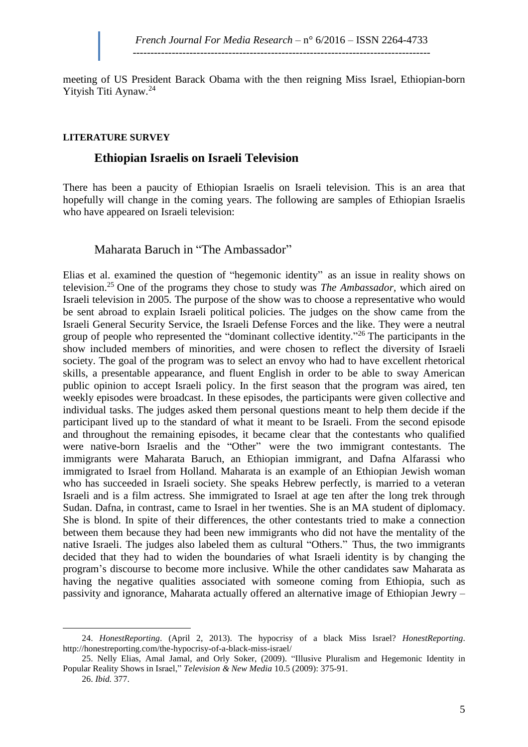meeting of US President Barack Obama with the then reigning Miss Israel, Ethiopian-born Yityish Titi Aynaw.<sup>24</sup>

#### **LITERATURE SURVEY**

#### **Ethiopian Israelis on Israeli Television**

There has been a paucity of Ethiopian Israelis on Israeli television. This is an area that hopefully will change in the coming years. The following are samples of Ethiopian Israelis who have appeared on Israeli television:

#### Maharata Baruch in "The Ambassador"

Elias et al. examined the question of "hegemonic identity" as an issue in reality shows on television.<sup>25</sup> One of the programs they chose to study was *The Ambassador,* which aired on Israeli television in 2005. The purpose of the show was to choose a representative who would be sent abroad to explain Israeli political policies. The judges on the show came from the Israeli General Security Service, the Israeli Defense Forces and the like. They were a neutral group of people who represented the "dominant collective identity."<sup>26</sup> The participants in the show included members of minorities, and were chosen to reflect the diversity of Israeli society. The goal of the program was to select an envoy who had to have excellent rhetorical skills, a presentable appearance, and fluent English in order to be able to sway American public opinion to accept Israeli policy. In the first season that the program was aired, ten weekly episodes were broadcast. In these episodes, the participants were given collective and individual tasks. The judges asked them personal questions meant to help them decide if the participant lived up to the standard of what it meant to be Israeli. From the second episode and throughout the remaining episodes, it became clear that the contestants who qualified were native-born Israelis and the "Other" were the two immigrant contestants. The immigrants were Maharata Baruch, an Ethiopian immigrant, and Dafna Alfarassi who immigrated to Israel from Holland. Maharata is an example of an Ethiopian Jewish woman who has succeeded in Israeli society. She speaks Hebrew perfectly, is married to a veteran Israeli and is a film actress. She immigrated to Israel at age ten after the long trek through Sudan. Dafna, in contrast, came to Israel in her twenties. She is an MA student of diplomacy. She is blond. In spite of their differences, the other contestants tried to make a connection between them because they had been new immigrants who did not have the mentality of the native Israeli. The judges also labeled them as cultural "Others." Thus, the two immigrants decided that they had to widen the boundaries of what Israeli identity is by changing the program's discourse to become more inclusive. While the other candidates saw Maharata as having the negative qualities associated with someone coming from Ethiopia, such as passivity and ignorance, Maharata actually offered an alternative image of Ethiopian Jewry –

 $\overline{a}$ 24. *HonestReporting*. (April 2, 2013). The hypocrisy of a black Miss Israel? *HonestReporting*. <http://honestreporting.com/the-hypocrisy-of-a-black-miss-israel/>

<sup>25.</sup> Nelly Elias, Amal Jamal, and Orly Soker, (2009). "Illusive Pluralism and Hegemonic Identity in Popular Reality Shows in Israel," *Television & New Media* 10.5 (2009): 375-91.

<sup>26.</sup> *Ibid.* 377.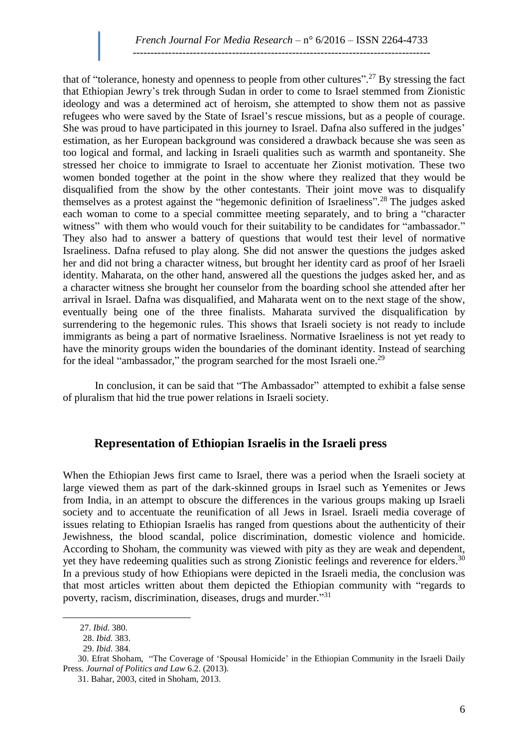that of "tolerance, honesty and openness to people from other cultures".<sup>27</sup> By stressing the fact that Ethiopian Jewry's trek through Sudan in order to come to Israel stemmed from Zionistic ideology and was a determined act of heroism, she attempted to show them not as passive refugees who were saved by the State of Israel's rescue missions, but as a people of courage. She was proud to have participated in this journey to Israel. Dafna also suffered in the judges' estimation, as her European background was considered a drawback because she was seen as too logical and formal, and lacking in Israeli qualities such as warmth and spontaneity. She stressed her choice to immigrate to Israel to accentuate her Zionist motivation. These two women bonded together at the point in the show where they realized that they would be disqualified from the show by the other contestants. Their joint move was to disqualify themselves as a protest against the "hegemonic definition of Israeliness".<sup>28</sup> The judges asked each woman to come to a special committee meeting separately, and to bring a "character witness" with them who would vouch for their suitability to be candidates for "ambassador." They also had to answer a battery of questions that would test their level of normative Israeliness. Dafna refused to play along. She did not answer the questions the judges asked her and did not bring a character witness, but brought her identity card as proof of her Israeli identity. Maharata, on the other hand, answered all the questions the judges asked her, and as a character witness she brought her counselor from the boarding school she attended after her arrival in Israel. Dafna was disqualified, and Maharata went on to the next stage of the show, eventually being one of the three finalists. Maharata survived the disqualification by surrendering to the hegemonic rules. This shows that Israeli society is not ready to include immigrants as being a part of normative Israeliness. Normative Israeliness is not yet ready to have the minority groups widen the boundaries of the dominant identity. Instead of searching for the ideal "ambassador," the program searched for the most Israeli one.<sup>29</sup>

In conclusion, it can be said that "The Ambassador" attempted to exhibit a false sense of pluralism that hid the true power relations in Israeli society.

# **Representation of Ethiopian Israelis in the Israeli press**

When the Ethiopian Jews first came to Israel, there was a period when the Israeli society at large viewed them as part of the dark-skinned groups in Israel such as Yemenites or Jews from India, in an attempt to obscure the differences in the various groups making up Israeli society and to accentuate the reunification of all Jews in Israel. Israeli media coverage of issues relating to Ethiopian Israelis has ranged from questions about the authenticity of their Jewishness, the blood scandal, police discrimination, domestic violence and homicide. According to Shoham, the community was viewed with pity as they are weak and dependent, yet they have redeeming qualities such as strong Zionistic feelings and reverence for elders.<sup>30</sup> In a previous study of how Ethiopians were depicted in the Israeli media, the conclusion was that most articles written about them depicted the Ethiopian community with "regards to poverty, racism, discrimination, diseases, drugs and murder."<sup>31</sup>

 <sup>27.</sup> *Ibid.* 380.

<sup>28.</sup> *Ibid.* 383.

<sup>29.</sup> *Ibid.* 384.

<sup>30.</sup> Efrat Shoham, "The Coverage of 'Spousal Homicide' in the Ethiopian Community in the Israeli Daily Press. *Journal of Politics and Law* 6.2. (2013)*.*

<sup>31.</sup> Bahar, 2003, cited in Shoham, 2013.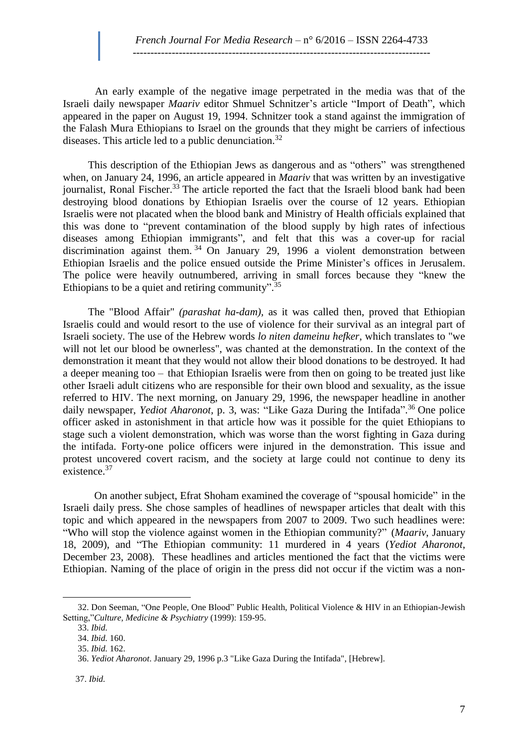An early example of the negative image perpetrated in the media was that of the Israeli daily newspaper *Maariv* editor Shmuel Schnitzer's article "Import of Death", which appeared in the paper on August 19, 1994. Schnitzer took a stand against the immigration of the Falash Mura Ethiopians to Israel on the grounds that they might be carriers of infectious diseases. This article led to a public denunciation.<sup>32</sup>

This description of the Ethiopian Jews as dangerous and as "others" was strengthened when, on January 24, 1996, an article appeared in *Maariv* that was written by an investigative journalist, Ronal Fischer.<sup>33</sup> The article reported the fact that the Israeli blood bank had been destroying blood donations by Ethiopian Israelis over the course of 12 years. Ethiopian Israelis were not placated when the blood bank and Ministry of Health officials explained that this was done to "prevent contamination of the blood supply by high rates of infectious diseases among Ethiopian immigrants", and felt that this was a cover-up for racial discrimination against them. <sup>34</sup> On January 29, 1996 a violent demonstration between Ethiopian Israelis and the police ensued outside the Prime Minister's offices in Jerusalem. The police were heavily outnumbered, arriving in small forces because they "knew the Ethiopians to be a quiet and retiring community".<sup>35</sup>

The "Blood Affair" *(parashat ha-dam),* as it was called then, proved that Ethiopian Israelis could and would resort to the use of violence for their survival as an integral part of Israeli society. The use of the Hebrew words *lo niten dameinu hefker*, which translates to "we will not let our blood be ownerless", was chanted at the demonstration. In the context of the demonstration it meant that they would not allow their blood donations to be destroyed. It had a deeper meaning too – that Ethiopian Israelis were from then on going to be treated just like other Israeli adult citizens who are responsible for their own blood and sexuality, as the issue referred to HIV. The next morning, on January 29, 1996, the newspaper headline in another daily newspaper, *Yediot Aharonot,* p. 3, was: "Like Gaza During the Intifada". <sup>36</sup> One police officer asked in astonishment in that article how was it possible for the quiet Ethiopians to stage such a violent demonstration, which was worse than the worst fighting in Gaza during the intifada. Forty-one police officers were injured in the demonstration. This issue and protest uncovered covert racism, and the society at large could not continue to deny its existence.<sup>37</sup>

On another subject, Efrat Shoham examined the coverage of "spousal homicide" in the Israeli daily press. She chose samples of headlines of newspaper articles that dealt with this topic and which appeared in the newspapers from 2007 to 2009. Two such headlines were: "Who will stop the violence against women in the Ethiopian community?" (*Maariv*, January 18, 2009), and "The Ethiopian community: 11 murdered in 4 years (*Yediot Aharonot*, December 23, 2008). These headlines and articles mentioned the fact that the victims were Ethiopian. Naming of the place of origin in the press did not occur if the victim was a non-

<sup>32.</sup> Don Seeman, "One People, One Blood" Public Health, Political Violence & HIV in an Ethiopian-Jewish Setting,"*Culture, Medicine & Psychiatry* (1999): 159-95.

<sup>33.</sup> *Ibid.*

<sup>34.</sup> *Ibid.* 160.

<sup>35.</sup> *Ibid.* 162.

<sup>36.</sup> *Yediot Aharonot*. January 29, 1996 p.3 "Like Gaza During the Intifada", [Hebrew].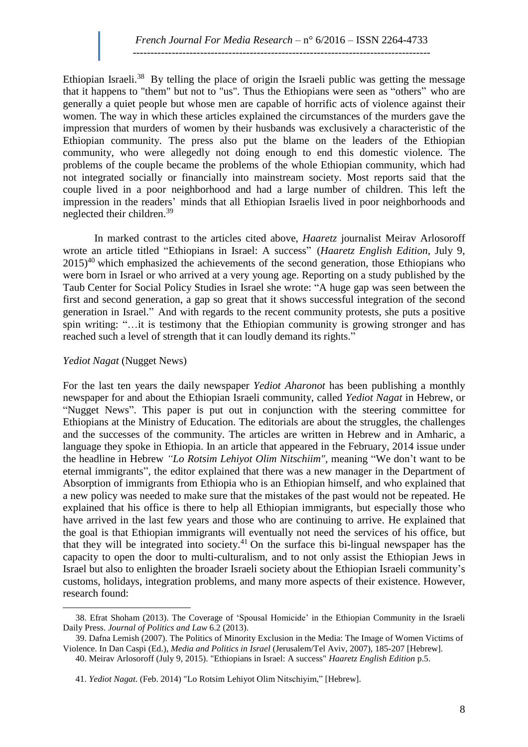Ethiopian Israeli.<sup>38</sup> By telling the place of origin the Israeli public was getting the message that it happens to "them" but not to "us". Thus the Ethiopians were seen as "others" who are generally a quiet people but whose men are capable of horrific acts of violence against their women. The way in which these articles explained the circumstances of the murders gave the impression that murders of women by their husbands was exclusively a characteristic of the Ethiopian community. The press also put the blame on the leaders of the Ethiopian community, who were allegedly not doing enough to end this domestic violence. The problems of the couple became the problems of the whole Ethiopian community, which had not integrated socially or financially into mainstream society. Most reports said that the couple lived in a poor neighborhood and had a large number of children. This left the impression in the readers' minds that all Ethiopian Israelis lived in poor neighborhoods and neglected their children.<sup>39</sup>

In marked contrast to the articles cited above, *Haaretz* journalist Meirav Arlosoroff wrote an article titled "Ethiopians in Israel: A success" (*Haaretz English Edition*, July 9,  $2015<sup>40</sup>$  which emphasized the achievements of the second generation, those Ethiopians who were born in Israel or who arrived at a very young age. Reporting on a study published by the Taub Center for Social Policy Studies in Israel she wrote: "A huge gap was seen between the first and second generation, a gap so great that it shows successful integration of the second generation in Israel." And with regards to the recent community protests, she puts a positive spin writing: "…it is testimony that the Ethiopian community is growing stronger and has reached such a level of strength that it can loudly demand its rights."

#### *Yediot Nagat* (Nugget News)

 $\overline{a}$ 

For the last ten years the daily newspaper *Yediot Aharonot* has been publishing a monthly newspaper for and about the Ethiopian Israeli community, called *Yediot Nagat* in Hebrew, or "Nugget News". This paper is put out in conjunction with the steering committee for Ethiopians at the Ministry of Education. The editorials are about the struggles, the challenges and the successes of the community. The articles are written in Hebrew and in Amharic, a language they spoke in Ethiopia. In an article that appeared in the February, 2014 issue under the headline in Hebrew *"Lo Rotsim Lehiyot Olim Nitschiim",* meaning "We don't want to be eternal immigrants", the editor explained that there was a new manager in the Department of Absorption of immigrants from Ethiopia who is an Ethiopian himself, and who explained that a new policy was needed to make sure that the mistakes of the past would not be repeated. He explained that his office is there to help all Ethiopian immigrants, but especially those who have arrived in the last few years and those who are continuing to arrive. He explained that the goal is that Ethiopian immigrants will eventually not need the services of his office, but that they will be integrated into society.<sup>41</sup> On the surface this bi-lingual newspaper has the capacity to open the door to multi-culturalism, and to not only assist the Ethiopian Jews in Israel but also to enlighten the broader Israeli society about the Ethiopian Israeli community's customs, holidays, integration problems, and many more aspects of their existence. However, research found:

<sup>38.</sup> Efrat Shoham (2013). The Coverage of 'Spousal Homicide' in the Ethiopian Community in the Israeli Daily Press. *Journal of Politics and Law* 6.2 (2013).

<sup>39.</sup> Dafna Lemish (2007). The Politics of Minority Exclusion in the Media: The Image of Women Victims of Violence. In Dan Caspi (Ed.), *Media and Politics in Israel* (Jerusalem/Tel Aviv, 2007), 185-207 [Hebrew].

<sup>40.</sup> Meirav Arlosoroff (July 9, 2015). "Ethiopians in Israel: A success" *Haaretz English Edition* p.5.

<sup>41.</sup> *Yediot Nagat*. (Feb. 2014) "Lo Rotsim Lehiyot Olim Nitschiyim," [Hebrew].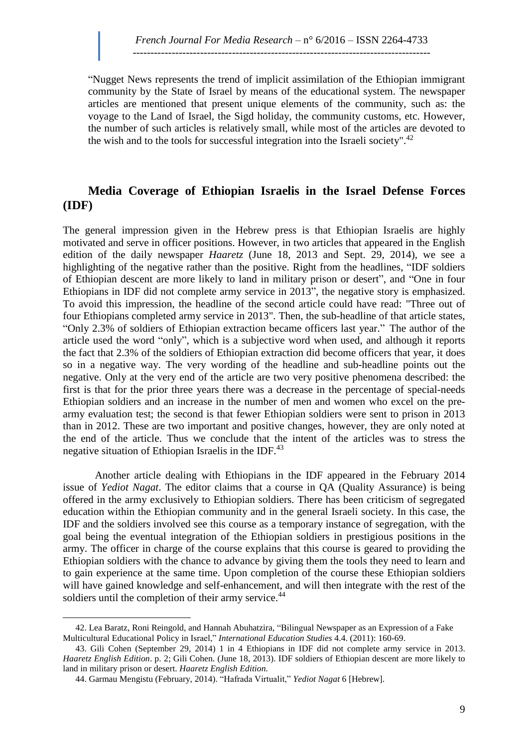"Nugget News represents the trend of implicit assimilation of the Ethiopian immigrant community by the State of Israel by means of the educational system. The newspaper articles are mentioned that present unique elements of the community, such as: the voyage to the Land of Israel, the Sigd holiday, the community customs, etc. However, the number of such articles is relatively small, while most of the articles are devoted to the wish and to the tools for successful integration into the Israeli society".<sup>42</sup>

## **Media Coverage of Ethiopian Israelis in the Israel Defense Forces (IDF)**

The general impression given in the Hebrew press is that Ethiopian Israelis are highly motivated and serve in officer positions. However, in two articles that appeared in the English edition of the daily newspaper *Haaretz* (June 18, 2013 and Sept. 29, 2014), we see a highlighting of the negative rather than the positive. Right from the headlines, "IDF soldiers of Ethiopian descent are more likely to land in military prison or desert", and "One in four Ethiopians in IDF did not complete army service in 2013", the negative story is emphasized. To avoid this impression, the headline of the second article could have read: "Three out of four Ethiopians completed army service in 2013". Then, the sub-headline of that article states, "Only 2.3% of soldiers of Ethiopian extraction became officers last year." The author of the article used the word "only", which is a subjective word when used, and although it reports the fact that 2.3% of the soldiers of Ethiopian extraction did become officers that year, it does so in a negative way. The very wording of the headline and sub-headline points out the negative. Only at the very end of the article are two very positive phenomena described: the first is that for the prior three years there was a decrease in the percentage of special-needs Ethiopian soldiers and an increase in the number of men and women who excel on the prearmy evaluation test; the second is that fewer Ethiopian soldiers were sent to prison in 2013 than in 2012. These are two important and positive changes, however, they are only noted at the end of the article. Thus we conclude that the intent of the articles was to stress the negative situation of Ethiopian Israelis in the IDF.<sup>43</sup>

Another article dealing with Ethiopians in the IDF appeared in the February 2014 issue of *Yediot Nagat*. The editor claims that a course in QA (Quality Assurance) is being offered in the army exclusively to Ethiopian soldiers. There has been criticism of segregated education within the Ethiopian community and in the general Israeli society. In this case, the IDF and the soldiers involved see this course as a temporary instance of segregation, with the goal being the eventual integration of the Ethiopian soldiers in prestigious positions in the army. The officer in charge of the course explains that this course is geared to providing the Ethiopian soldiers with the chance to advance by giving them the tools they need to learn and to gain experience at the same time. Upon completion of the course these Ethiopian soldiers will have gained knowledge and self-enhancement, and will then integrate with the rest of the soldiers until the completion of their army service.<sup>44</sup>

<sup>42.</sup> Lea Baratz, Roni Reingold, and Hannah Abuhatzira, "Bilingual Newspaper as an Expression of a Fake Multicultural Educational Policy in Israel," *International Education Studies* 4.4. (2011): 160-69.

<sup>43.</sup> Gili Cohen (September 29, 2014) 1 in 4 Ethiopians in IDF did not complete army service in 2013. *Haaretz English Edition*. p. 2; Gili Cohen. (June 18, 2013). IDF soldiers of Ethiopian descent are more likely to land in military prison or desert. *Haaretz English Edition.*

<sup>44.</sup> Garmau Mengistu (February, 2014). "Hafrada Virtualit," *Yediot Nagat* 6 [Hebrew].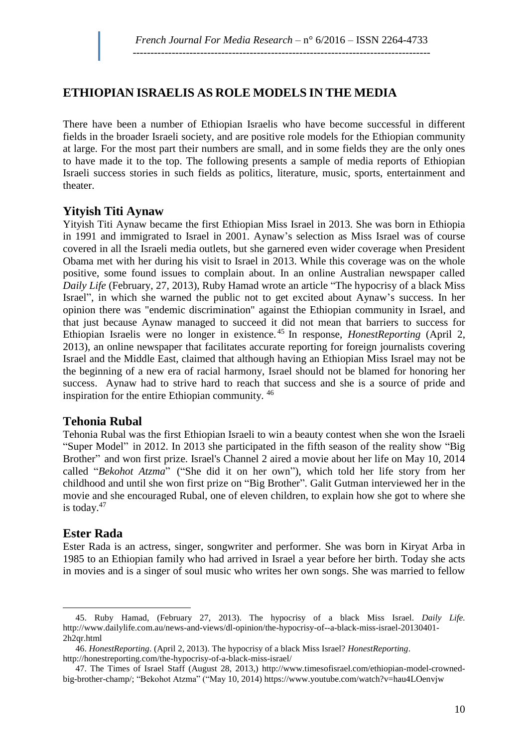# **ETHIOPIAN ISRAELIS AS ROLE MODELS IN THE MEDIA**

There have been a number of Ethiopian Israelis who have become successful in different fields in the broader Israeli society, and are positive role models for the Ethiopian community at large. For the most part their numbers are small, and in some fields they are the only ones to have made it to the top. The following presents a sample of media reports of Ethiopian Israeli success stories in such fields as politics, literature, music, sports, entertainment and theater.

## **Yityish Titi Aynaw**

Yityish Titi Aynaw became the first Ethiopian Miss Israel in 2013. She was born in Ethiopia in 1991 and immigrated to Israel in 2001. Aynaw's selection as Miss Israel was of course covered in all the Israeli media outlets, but she garnered even wider coverage when President Obama met with her during his visit to Israel in 2013. While this coverage was on the whole positive, some found issues to complain about. In an online Australian newspaper called *Daily Life* (February, 27, 2013), Ruby Hamad wrote an article "The hypocrisy of a black Miss Israel", in which she warned the public not to get excited about Aynaw's success. In her opinion there was "endemic discrimination" against the Ethiopian community in Israel, and that just because Aynaw managed to succeed it did not mean that barriers to success for Ethiopian Israelis were no longer in existence. <sup>45</sup> In response, *HonestReporting* (April 2, 2013), an online newspaper that facilitates accurate reporting for foreign journalists covering Israel and the Middle East, claimed that although having an Ethiopian Miss Israel may not be the beginning of a new era of racial harmony, Israel should not be blamed for honoring her success. Aynaw had to strive hard to reach that success and she is a source of pride and inspiration for the entire Ethiopian community. <sup>46</sup>

## **Tehonia Rubal**

Tehonia Rubal was the first Ethiopian Israeli to win a beauty contest when she won the Israeli "Super Model" in 2012. In 2013 she participated in the fifth season of the reality show "Big Brother" and won first prize. Israel's Channel 2 aired a movie about her life on May 10, 2014 called "*Bekohot Atzma*" ("She did it on her own"), which told her life story from her childhood and until she won first prize on "Big Brother". Galit Gutman interviewed her in the movie and she encouraged Rubal, one of eleven children, to explain how she got to where she is today. $47$ 

## **Ester Rada**

 $\overline{a}$ 

Ester Rada is an actress, singer, songwriter and performer. She was born in Kiryat Arba in 1985 to an Ethiopian family who had arrived in Israel a year before her birth. Today she acts in movies and is a singer of soul music who writes her own songs. She was married to fellow

<sup>45.</sup> Ruby Hamad, (February 27, 2013). The hypocrisy of a black Miss Israel. *Daily Life.* [http://www.dailylife.com.au/news-and-views/dl-opinion/the-hypocrisy-of--a-black-miss-israel-20130401-](http://www.dailylife.com.au/news-and-views/dl-opinion/the-hypocrisy-of--a-black-miss-israel-20130401-2h2qr.html) [2h2qr.html](http://www.dailylife.com.au/news-and-views/dl-opinion/the-hypocrisy-of--a-black-miss-israel-20130401-2h2qr.html)

<sup>46.</sup> *HonestReporting*. (April 2, 2013). The hypocrisy of a black Miss Israel? *HonestReporting*. <http://honestreporting.com/the-hypocrisy-of-a-black-miss-israel/>

<sup>47.</sup> The Times of Israel Staff (August 28, 2013,) [http://www.timesofisrael.com/ethiopian-model-crowned](http://www.timesofisrael.com/ethiopian-model-crowned-big-brother-champ/)[big-brother-champ/;](http://www.timesofisrael.com/ethiopian-model-crowned-big-brother-champ/) "Bekohot Atzma" ("May 10, 2014) <https://www.youtube.com/watch?v=hau4LOenvjw>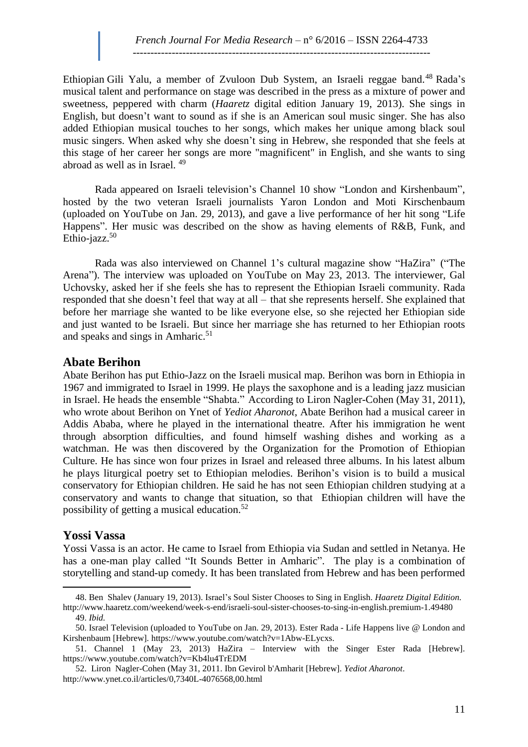Ethiopian Gili Yalu, a member of Zvuloon Dub System, an Israeli reggae band.<sup>48</sup> Rada's musical talent and performance on stage was described in the press as a mixture of power and sweetness, peppered with charm (*Haaretz* digital edition January 19, 2013). She sings in English, but doesn't want to sound as if she is an American soul music singer. She has also added Ethiopian musical touches to her songs, which makes her unique among black soul music singers. When asked why she doesn't sing in Hebrew, she responded that she feels at this stage of her career her songs are more "magnificent" in English, and she wants to sing abroad as well as in Israel. <sup>49</sup>

Rada appeared on Israeli television's Channel 10 show "London and Kirshenbaum", hosted by the two veteran Israeli journalists Yaron London and Moti Kirschenbaum (uploaded on YouTube on Jan. 29, 2013), and gave a live performance of her hit song "Life Happens". Her music was described on the show as having elements of R&B, Funk, and Ethio-jazz. $50$ 

Rada was also interviewed on Channel 1's cultural magazine show "HaZira" ("The Arena"). The interview was uploaded on YouTube on May 23, 2013. The interviewer, Gal Uchovsky, asked her if she feels she has to represent the Ethiopian Israeli community. Rada responded that she doesn't feel that way at all – that she represents herself. She explained that before her marriage she wanted to be like everyone else, so she rejected her Ethiopian side and just wanted to be Israeli. But since her marriage she has returned to her Ethiopian roots and speaks and sings in Amharic.<sup>51</sup>

### **Abate Berihon**

Abate Berihon has put Ethio-Jazz on the Israeli musical map. Berihon was born in Ethiopia in 1967 and immigrated to Israel in 1999. He plays the saxophone and is a leading jazz musician in Israel. He heads the ensemble "Shabta." According to Liron Nagler-Cohen (May 31, 2011), who wrote about Berihon on Ynet of *Yediot Aharonot*, Abate Berihon had a musical career in Addis Ababa, where he played in the international theatre. After his immigration he went through absorption difficulties, and found himself washing dishes and working as a watchman. He was then discovered by the Organization for the Promotion of Ethiopian Culture. He has since won four prizes in Israel and released three albums. In his latest album he plays liturgical poetry set to Ethiopian melodies. Berihon's vision is to build a musical conservatory for Ethiopian children. He said he has not seen Ethiopian children studying at a conservatory and wants to change that situation, so that Ethiopian children will have the possibility of getting a musical education.<sup>52</sup>

## **Yossi Vassa**

Yossi Vassa is an actor. He came to Israel from Ethiopia via Sudan and settled in Netanya. He has a one-man play called "It Sounds Better in Amharic". The play is a combination of storytelling and stand-up comedy. It has been translated from Hebrew and has been performed

<sup>48.</sup> Ben Shalev (January 19, 2013). Israel's Soul Sister Chooses to Sing in English. *Haaretz Digital Edition.* <http://www.haaretz.com/weekend/week-s-end/israeli-soul-sister-chooses-to-sing-in-english.premium-1.49480>

<sup>49.</sup> *Ibid.*

<sup>50.</sup> Israel Television (uploaded to YouTube on Jan. 29, 2013). Ester Rada - Life Happens live @ London and Kirshenbaum [Hebrew]. [https://www.youtube.com/watch?v=1Abw-ELycxs.](https://www.youtube.com/watch?v=1Abw-ELycxs)

<sup>51.</sup> Channel 1 (May 23, 2013) HaZira – Interview with the Singer Ester Rada [Hebrew]. <https://www.youtube.com/watch?v=Kb4lu4TrEDM>

<sup>52.</sup> Liron Nagler-Cohen (May 31, 2011. Ibn Gevirol b'Amharit [Hebrew]. *Yediot Aharonot*. http:/[/www.ynet.co.il/articles/0,7340L-4076568,00.html](http://www.ynet.co.il/articles/0,7340L-4076568,00.html)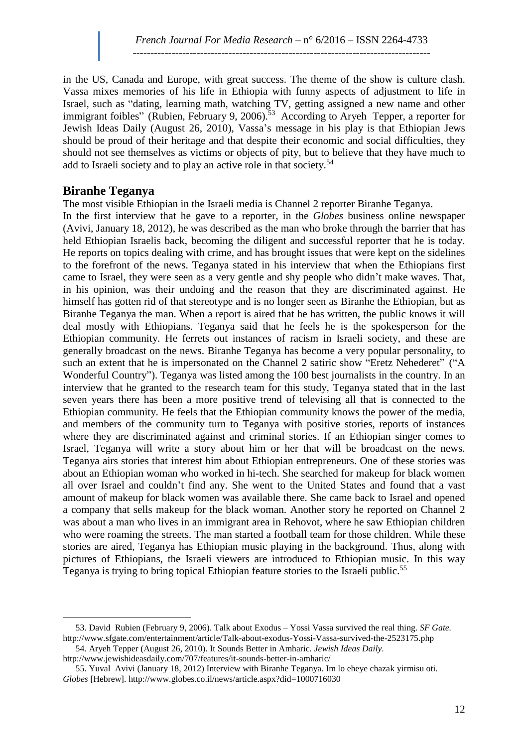in the US, Canada and Europe, with great success. The theme of the show is culture clash. Vassa mixes memories of his life in Ethiopia with funny aspects of adjustment to life in Israel, such as "dating, learning math, watching TV, getting assigned a new name and other immigrant foibles" (Rubien, February 9, 2006).<sup>53</sup> According to Aryeh Tepper, a reporter for Jewish Ideas Daily (August 26, 2010), Vassa's message in his play is that Ethiopian Jews should be proud of their heritage and that despite their economic and social difficulties, they should not see themselves as victims or objects of pity, but to believe that they have much to add to Israeli society and to play an active role in that society.<sup>54</sup>

## **Biranhe Teganya**

 $\overline{a}$ 

The most visible Ethiopian in the Israeli media is Channel 2 reporter Biranhe Teganya.

In the first interview that he gave to a reporter, in the *Globes* business online newspaper (Avivi, January 18, 2012), he was described as the man who broke through the barrier that has held Ethiopian Israelis back, becoming the diligent and successful reporter that he is today. He reports on topics dealing with crime, and has brought issues that were kept on the sidelines to the forefront of the news. Teganya stated in his interview that when the Ethiopians first came to Israel, they were seen as a very gentle and shy people who didn't make waves. That, in his opinion, was their undoing and the reason that they are discriminated against. He himself has gotten rid of that stereotype and is no longer seen as Biranhe the Ethiopian, but as Biranhe Teganya the man. When a report is aired that he has written, the public knows it will deal mostly with Ethiopians. Teganya said that he feels he is the spokesperson for the Ethiopian community. He ferrets out instances of racism in Israeli society, and these are generally broadcast on the news. Biranhe Teganya has become a very popular personality, to such an extent that he is impersonated on the Channel 2 satiric show "Eretz Nehederet" ("A Wonderful Country"). Teganya was listed among the 100 best journalists in the country. In an interview that he granted to the research team for this study, Teganya stated that in the last seven years there has been a more positive trend of televising all that is connected to the Ethiopian community. He feels that the Ethiopian community knows the power of the media, and members of the community turn to Teganya with positive stories, reports of instances where they are discriminated against and criminal stories. If an Ethiopian singer comes to Israel, Teganya will write a story about him or her that will be broadcast on the news. Teganya airs stories that interest him about Ethiopian entrepreneurs. One of these stories was about an Ethiopian woman who worked in hi-tech. She searched for makeup for black women all over Israel and couldn't find any. She went to the United States and found that a vast amount of makeup for black women was available there. She came back to Israel and opened a company that sells makeup for the black woman. Another story he reported on Channel 2 was about a man who lives in an immigrant area in Rehovot, where he saw Ethiopian children who were roaming the streets. The man started a football team for those children. While these stories are aired, Teganya has Ethiopian music playing in the background. Thus, along with pictures of Ethiopians, the Israeli viewers are introduced to Ethiopian music. In this way Teganya is trying to bring topical Ethiopian feature stories to the Israeli public.<sup>55</sup>

<sup>53.</sup> David Rubien (February 9, 2006). Talk about Exodus – Yossi Vassa survived the real thing. *SF Gate.* <http://www.sfgate.com/entertainment/article/Talk-about-exodus-Yossi-Vassa-survived-the-2523175.php>

<sup>54.</sup> [Aryeh](http://www.jewishideasdaily.com/author/aryeh-tepper) Tepper (August 26, 2010). It Sounds Better in Amharic. *Jewish Ideas Daily*. <http://www.jewishideasdaily.com/707/features/it-sounds-better-in-amharic/>

<sup>55.</sup> Yuval Avivi (January 18, 2012) Interview with Biranhe Teganya. Im lo eheye chazak yirmisu oti. *Globes* [Hebrew]. <http://www.globes.co.il/news/article.aspx?did=1000716030>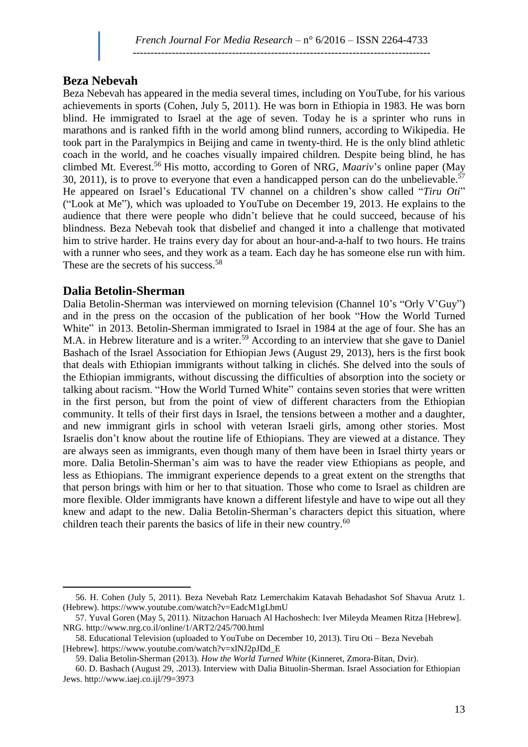### **Beza Nebevah**

Beza Nebevah has appeared in the media several times, including on YouTube, for his various achievements in sports (Cohen, July 5, 2011). He was born in Ethiopia in 1983. He was born blind. He immigrated to Israel at the age of seven. Today he is a sprinter who runs in marathons and is ranked fifth in the world among blind runners, according to Wikipedia. He took part in the Paralympics in Beijing and came in twenty-third. He is the only blind athletic coach in the world, and he coaches visually impaired children. Despite being blind, he has climbed Mt. Everest.<sup>56</sup> His motto, according to Goren of NRG, *Maariv*'s online paper (May 30, 2011), is to prove to everyone that even a handicapped person can do the unbelievable.<sup>57</sup> He appeared on Israel's Educational TV channel on a children's show called "*Tiru Oti*" ("Look at Me"), which was uploaded to YouTube on December 19, 2013. He explains to the audience that there were people who didn't believe that he could succeed, because of his blindness. Beza Nebevah took that disbelief and changed it into a challenge that motivated him to strive harder. He trains every day for about an hour-and-a-half to two hours. He trains with a runner who sees, and they work as a team. Each day he has someone else run with him. These are the secrets of his success.<sup>58</sup>

## **Dalia Betolin-Sherman**

 $\overline{a}$ 

Dalia Betolin-Sherman was interviewed on morning television (Channel 10's "Orly V'Guy") and in the press on the occasion of the publication of her book "How the World Turned White" in 2013. Betolin-Sherman immigrated to Israel in 1984 at the age of four. She has an M.A. in Hebrew literature and is a writer.<sup>59</sup> According to an interview that she gave to Daniel Bashach of the Israel Association for Ethiopian Jews (August 29, 2013), hers is the first book that deals with Ethiopian immigrants without talking in clichés. She delved into the souls of the Ethiopian immigrants, without discussing the difficulties of absorption into the society or talking about racism. "How the World Turned White" contains seven stories that were written in the first person, but from the point of view of different characters from the Ethiopian community. It tells of their first days in Israel, the tensions between a mother and a daughter, and new immigrant girls in school with veteran Israeli girls, among other stories. Most Israelis don't know about the routine life of Ethiopians. They are viewed at a distance. They are always seen as immigrants, even though many of them have been in Israel thirty years or more. Dalia Betolin-Sherman's aim was to have the reader view Ethiopians as people, and less as Ethiopians. The immigrant experience depends to a great extent on the strengths that that person brings with him or her to that situation. Those who come to Israel as children are more flexible. Older immigrants have known a different lifestyle and have to wipe out all they knew and adapt to the new. Dalia Betolin-Sherman's characters depict this situation, where children teach their parents the basics of life in their new country.<sup>60</sup>

<sup>56.</sup> H. Cohen (July 5, 2011). Beza Nevebah Ratz Lemerchakim Katavah Behadashot Sof Shavua Arutz 1. (Hebrew). <https://www.youtube.com/watch?v=EadcM1gLbmU>

<sup>57.</sup> Yuval Goren (May 5, 2011). Nitzachon Haruach Al Hachoshech: Iver Mileyda Meamen Ritza [Hebrew]. NRG. <http://www.nrg.co.il/online/1/ART2/245/700.html>

<sup>58.</sup> Educational Television (uploaded to YouTube on December 10, 2013). Tiru Oti – Beza Nevebah [Hebrew]. [https://www.youtube.com/watch?v=xlNJ2pJDd\\_E](https://www.youtube.com/watch?v=xlNJ2pJDd_E)

<sup>59.</sup> Dalia Betolin-Sherman (2013). *How the World Turned White* (Kinneret, Zmora-Bitan, Dvir).

<sup>60.</sup> D. Bashach (August 29, .2013). Interview with Dalia Bituolin-Sherman. Israel Association for Ethiopian Jews. http:/[/www.iaej.co.ijl/?9=3973](http://www.iaej.co.ijl/?9=3973)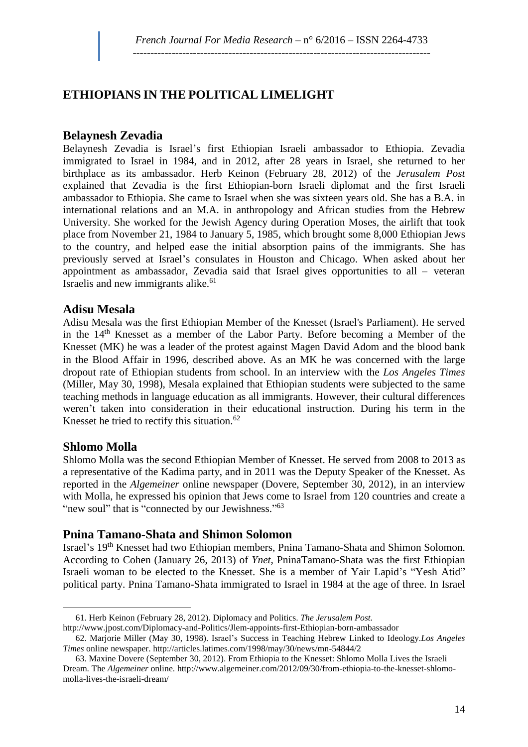# **ETHIOPIANS IN THE POLITICAL LIMELIGHT**

### **Belaynesh Zevadia**

Belaynesh Zevadia is Israel's first Ethiopian Israeli ambassador to Ethiopia. Zevadia immigrated to Israel in 1984, and in 2012, after 28 years in Israel, she returned to her birthplace as its ambassador. Herb Keinon (February 28, 2012) of the *Jerusalem Post* explained that Zevadia is the first Ethiopian-born Israeli diplomat and the first Israeli ambassador to Ethiopia. She came to Israel when she was sixteen years old. She has a B.A. in international relations and an M.A. in anthropology and African studies from the Hebrew University. She worked for the Jewish Agency during Operation Moses, the airlift that took place from November 21, 1984 to January 5, 1985, which brought some 8,000 Ethiopian Jews to the country, and helped ease the initial absorption pains of the immigrants. She has previously served at Israel's consulates in Houston and Chicago. When asked about her appointment as ambassador, Zevadia said that Israel gives opportunities to all – veteran Israelis and new immigrants alike.<sup>61</sup>

### **Adisu Mesala**

Adisu Mesala was the first Ethiopian Member of the Knesset (Israel's Parliament). He served in the 14th Knesset as a member of the Labor Party. Before becoming a Member of the Knesset (MK) he was a leader of the protest against Magen David Adom and the blood bank in the Blood Affair in 1996*,* described above. As an MK he was concerned with the large dropout rate of Ethiopian students from school. In an interview with the *Los Angeles Times* (Miller, May 30, 1998), Mesala explained that Ethiopian students were subjected to the same teaching methods in language education as all immigrants. However, their cultural differences weren't taken into consideration in their educational instruction. During his term in the Knesset he tried to rectify this situation. $62$ 

### **Shlomo Molla**

 $\overline{a}$ 

Shlomo Molla was the second Ethiopian Member of Knesset. He served from 2008 to 2013 as a representative of the Kadima party, and in 2011 was the Deputy Speaker of the Knesset. As reported in the *Algemeiner* online newspaper (Dovere, September 30, 2012), in an interview with Molla, he expressed his opinion that Jews come to Israel from 120 countries and create a "new soul" that is "connected by our Jewishness."<sup>63</sup>

### **Pnina Tamano-Shata and Shimon Solomon**

Israel's 19th Knesset had two Ethiopian members, Pnina Tamano-Shata and Shimon Solomon. According to Cohen (January 26, 2013) of *Ynet*, PninaTamano-Shata was the first Ethiopian Israeli woman to be elected to the Knesset. She is a member of Yair Lapid's "Yesh Atid" political party. Pnina Tamano-Shata immigrated to Israel in 1984 at the age of three. In Israel

<sup>61.</sup> Herb Keinon (February 28, 2012). Diplomacy and Politics. *The Jerusalem Post.*

<http://www.jpost.com/Diplomacy-and-Politics/Jlem-appoints-first-Ethiopian-born-ambassador>

<sup>62.</sup> Marjorie Miller (May 30, 1998). Israel's Success in Teaching Hebrew Linked to Ideology.*Los Angeles Times* online newspaper. <http://articles.latimes.com/1998/may/30/news/mn-54844/2>

<sup>63.</sup> Maxine Dovere (September 30, 2012). From Ethiopia to the Knesset: Shlomo Molla Lives the Israeli Dream. The *Algemeiner* online. [http://www.algemeiner.com/2012/09/30/from-ethiopia-to-the-knesset-shlomo](http://www.algemeiner.com/2012/09/30/from-ethiopia-to-the-knesset-shlomo-molla-lives-the-israeli-dream/)[molla-lives-the-israeli-dream/](http://www.algemeiner.com/2012/09/30/from-ethiopia-to-the-knesset-shlomo-molla-lives-the-israeli-dream/)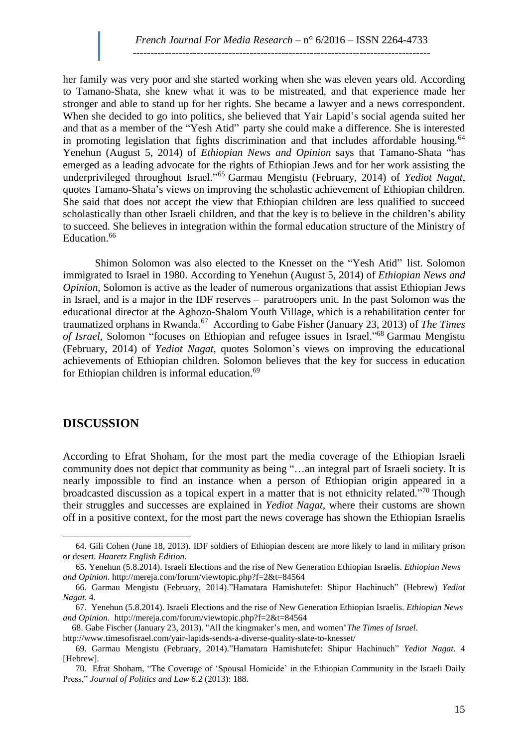her family was very poor and she started working when she was eleven years old. According to Tamano-Shata, she knew what it was to be mistreated, and that experience made her stronger and able to stand up for her rights. She became a lawyer and a news correspondent. When she decided to go into politics, she believed that Yair Lapid's social agenda suited her and that as a member of the "Yesh Atid" party she could make a difference. She is interested in promoting legislation that fights discrimination and that includes affordable housing.<sup>64</sup> Yenehun (August 5, 2014) of *Ethiopian News and Opinion* says that Tamano-Shata "has emerged as a leading advocate for the rights of Ethiopian Jews and for her work assisting the underprivileged throughout Israel." <sup>65</sup> Garmau Mengistu (February, 2014) of *Yediot Nagat*, quotes Tamano-Shata's views on improving the scholastic achievement of Ethiopian children. She said that does not accept the view that Ethiopian children are less qualified to succeed scholastically than other Israeli children, and that the key is to believe in the children's ability to succeed. She believes in integration within the formal education structure of the Ministry of Education.<sup>66</sup>

Shimon Solomon was also elected to the Knesset on the "Yesh Atid" list. Solomon immigrated to Israel in 1980. According to Yenehun (August 5, 2014) of *Ethiopian News and Opinion*, Solomon is active as the leader of numerous organizations that assist Ethiopian Jews in Israel, and is a major in the IDF reserves – paratroopers unit. In the past Solomon was the educational director at the Aghozo-Shalom Youth Village, which is a rehabilitation center for traumatized orphans in Rwanda.<sup>67</sup> According to Gabe Fisher (January 23, 2013) of *The Times of Israel*, Solomon "focuses on Ethiopian and refugee issues in Israel." <sup>68</sup> Garmau Mengistu (February, 2014) of *Yediot Nagat*, quotes Solomon's views on improving the educational achievements of Ethiopian children. Solomon believes that the key for success in education for Ethiopian children is informal education.<sup>69</sup>

### **DISCUSSION**

 $\overline{a}$ 

According to Efrat Shoham, for the most part the media coverage of the Ethiopian Israeli community does not depict that community as being "…an integral part of Israeli society. It is nearly impossible to find an instance when a person of Ethiopian origin appeared in a broadcasted discussion as a topical expert in a matter that is not ethnicity related."<sup>70</sup> Though their struggles and successes are explained in *Yediot Nagat,* where their customs are shown off in a positive context, for the most part the news coverage has shown the Ethiopian Israelis

<sup>64.</sup> Gili Cohen (June 18, 2013). IDF soldiers of Ethiopian descent are more likely to land in military prison or desert. *Haaretz English Edition.*

<sup>65.</sup> Yenehun (5.8.2014). Israeli Elections and the rise of New Generation Ethiopian Israelis. *Ethiopian News and Opinion.* <http://mereja.com/forum/viewtopic.php?f=2&t=84564>

<sup>66.</sup> Garmau Mengistu (February, 2014)."Hamatara Hamishutefet: Shipur Hachinuch" (Hebrew) *Yediot Nagat*. 4.

<sup>67.</sup> Yenehun (5.8.2014). Israeli Elections and the rise of New Generation Ethiopian Israelis. *Ethiopian News and Opinion.*<http://mereja.com/forum/viewtopic.php?f=2&t=84564>

 <sup>68.</sup> Gabe Fischer (January 23, 2013). "All the kingmaker's men, and women"*The Times of Israel*.

<http://www.timesofisrael.com/yair-lapids-sends-a-diverse-quality-slate-to-knesset/>

<sup>69.</sup> Garmau Mengistu (February, 2014)."Hamatara Hamishutefet: Shipur Hachinuch" *Yediot Nagat*. 4 [Hebrew].

<sup>70.</sup> Efrat Shoham, "The Coverage of 'Spousal Homicide' in the Ethiopian Community in the Israeli Daily Press," *Journal of Politics and Law 6*.2 (2013): 188.